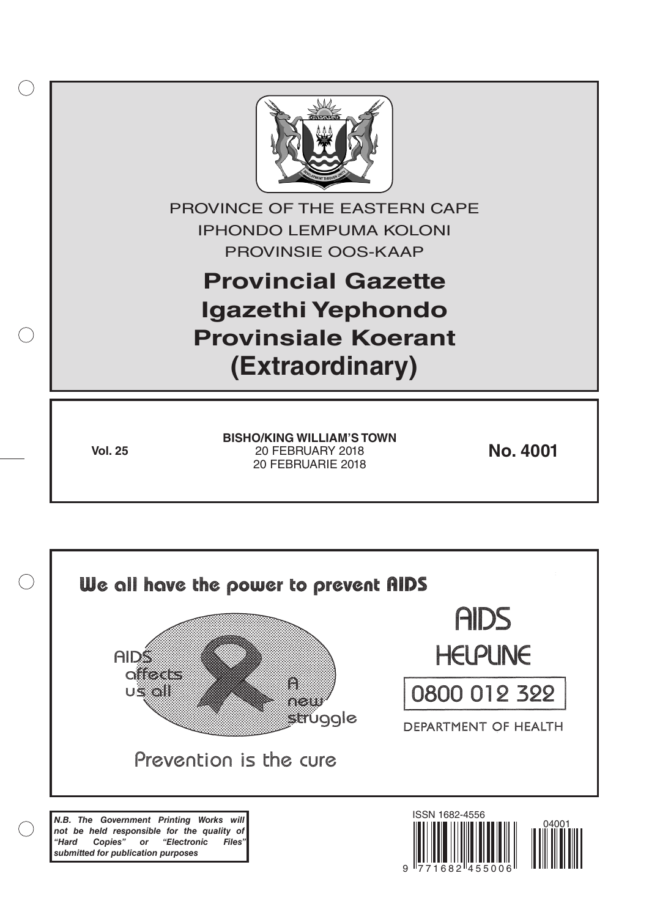

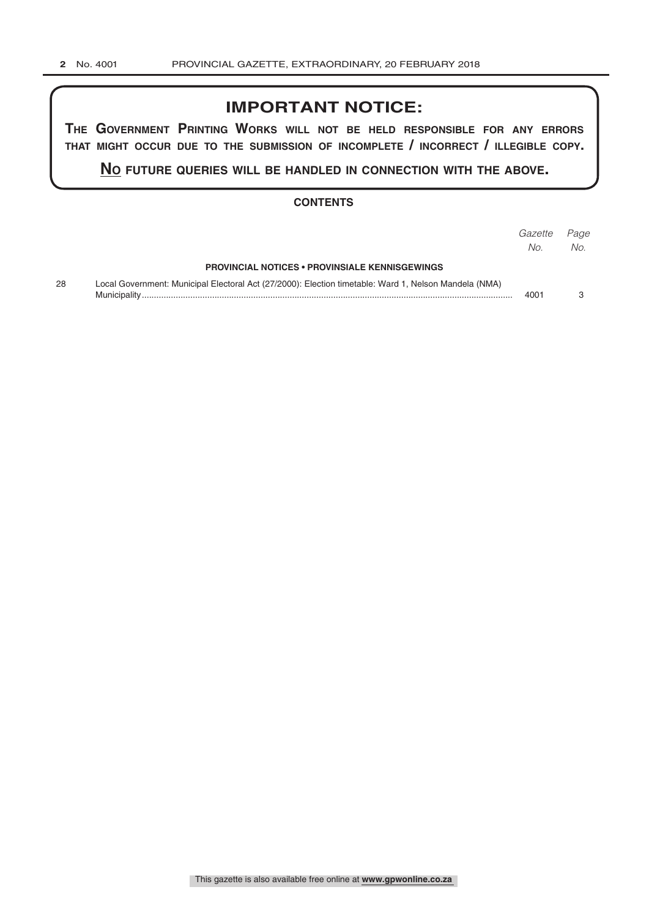# **IMPORTANT NOTICE:**

**The GovernmenT PrinTinG Works Will noT be held resPonsible for any errors ThaT miGhT occur due To The submission of incomPleTe / incorrecT / illeGible coPy.**

**no fuTure queries Will be handled in connecTion WiTh The above.**

#### **CONTENTS**

|    |                                                                                                       | Gazette<br>No. | Page<br>No. |
|----|-------------------------------------------------------------------------------------------------------|----------------|-------------|
|    | <b>PROVINCIAL NOTICES • PROVINSIALE KENNISGEWINGS</b>                                                 |                |             |
| 28 | Local Government: Municipal Electoral Act (27/2000): Election timetable: Ward 1, Nelson Mandela (NMA) | 4001           |             |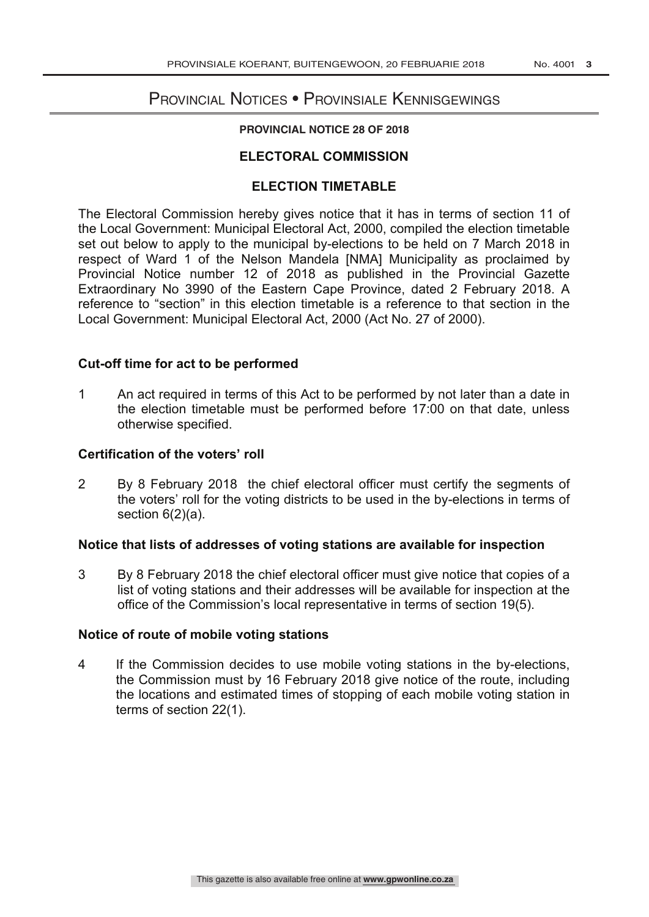## Provincial Notices • Provinsiale Kennisgewings

#### **PROVINCIAL NOTICE 28 OF 2018**

## **ELECTORAL COMMISSION**

## **ELECTION TIMETABLE**

The Electoral Commission hereby gives notice that it has in terms of section 11 of the Local Government: Municipal Electoral Act, 2000, compiled the election timetable set out below to apply to the municipal by-elections to be held on 7 March 2018 in respect of Ward 1 of the Nelson Mandela [NMA] Municipality as proclaimed by Provincial Notice number 12 of 2018 as published in the Provincial Gazette Extraordinary No 3990 of the Eastern Cape Province, dated 2 February 2018. A reference to "section" in this election timetable is a reference to that section in the Local Government: Municipal Electoral Act, 2000 (Act No. 27 of 2000).

#### **Cut-off time for act to be performed**

1 An act required in terms of this Act to be performed by not later than a date in the election timetable must be performed before 17:00 on that date, unless otherwise specified.

## **Certification of the voters' roll**

2 By 8 February 2018 the chief electoral officer must certify the segments of the voters' roll for the voting districts to be used in the by-elections in terms of section  $6(2)(a)$ .

#### **Notice that lists of addresses of voting stations are available for inspection**

3 By 8 February 2018 the chief electoral officer must give notice that copies of a list of voting stations and their addresses will be available for inspection at the office of the Commission's local representative in terms of section 19(5).

#### **Notice of route of mobile voting stations**

4 If the Commission decides to use mobile voting stations in the by-elections, the Commission must by 16 February 2018 give notice of the route, including the locations and estimated times of stopping of each mobile voting station in terms of section 22(1).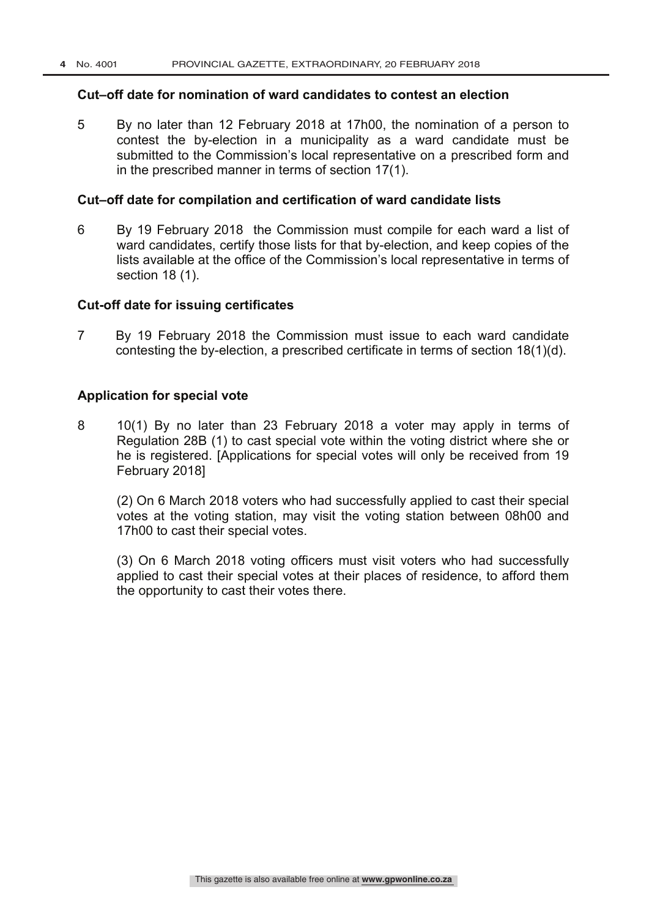#### **Cut–off date for nomination of ward candidates to contest an election**

5 By no later than 12 February 2018 at 17h00, the nomination of a person to contest the by-election in a municipality as a ward candidate must be submitted to the Commission's local representative on a prescribed form and in the prescribed manner in terms of section 17(1).

## **Cut–off date for compilation and certification of ward candidate lists**

6 By 19 February 2018 the Commission must compile for each ward a list of ward candidates, certify those lists for that by-election, and keep copies of the lists available at the office of the Commission's local representative in terms of section 18 (1).

#### **Cut-off date for issuing certificates**

7 By 19 February 2018 the Commission must issue to each ward candidate contesting the by-election, a prescribed certificate in terms of section 18(1)(d).

#### **Application for special vote**

8 10(1) By no later than 23 February 2018 a voter may apply in terms of Regulation 28B (1) to cast special vote within the voting district where she or he is registered. [Applications for special votes will only be received from 19 February 2018]

(2) On 6 March 2018 voters who had successfully applied to cast their special votes at the voting station, may visit the voting station between 08h00 and 17h00 to cast their special votes.

(3) On 6 March 2018 voting officers must visit voters who had successfully applied to cast their special votes at their places of residence, to afford them the opportunity to cast their votes there.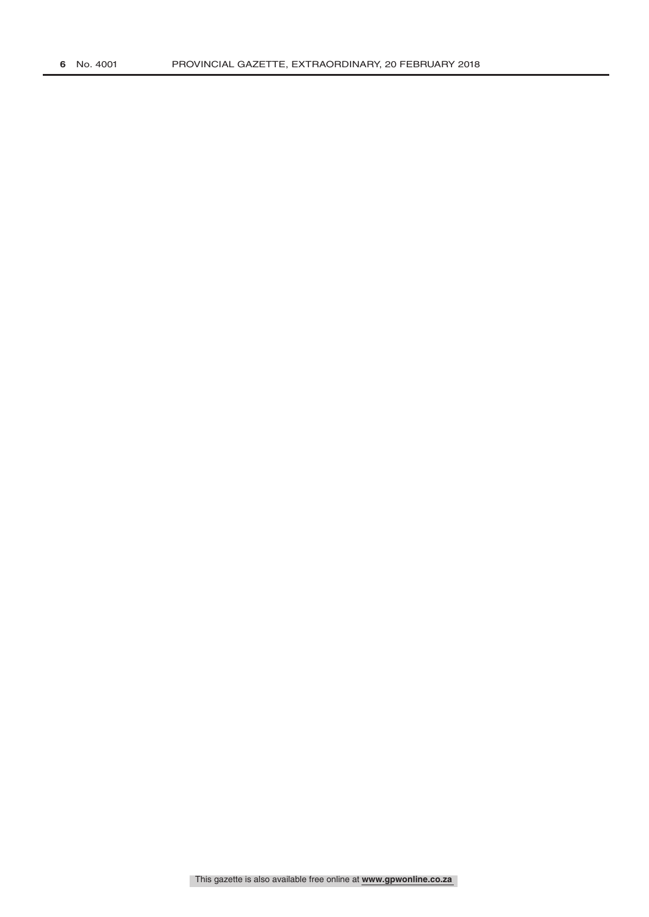This gazette is also available free online at **www.gpwonline.co.za**